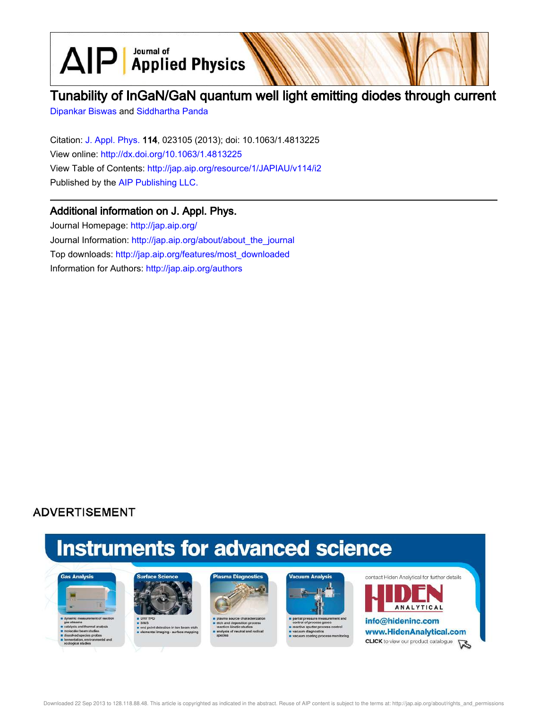$\text{AlP}$  Applied Physics

## Tunability of InGaN/GaN quantum well light emitting diodes through current

Dipankar Biswas and Siddhartha Panda

Citation: J. Appl. Phys. 114, 023105 (2013); doi: 10.1063/1.4813225 View online: http://dx.doi.org/10.1063/1.4813225 View Table of Contents: http://jap.aip.org/resource/1/JAPIAU/v114/i2 Published by the AIP Publishing LLC.

## Additional information on J. Appl. Phys.

Journal Homepage: http://jap.aip.org/ Journal Information: http://jap.aip.org/about/about\_the\_journal Top downloads: http://jap.aip.org/features/most\_downloaded Information for Authors: http://jap.aip.org/authors

## **ADVERTISEMENT**

# **Instruments for advanced science**





s end point detection in ion bear<br>selemental imaging - surface mi





partial pressure measure e sputter pro cess control um diagno





Downloaded 22 Sep 2013 to 128.118.88.48. This article is copyrighted as indicated in the abstract. Reuse of AIP content is subject to the terms at: http://jap.aip.org/about/rights\_and\_permissions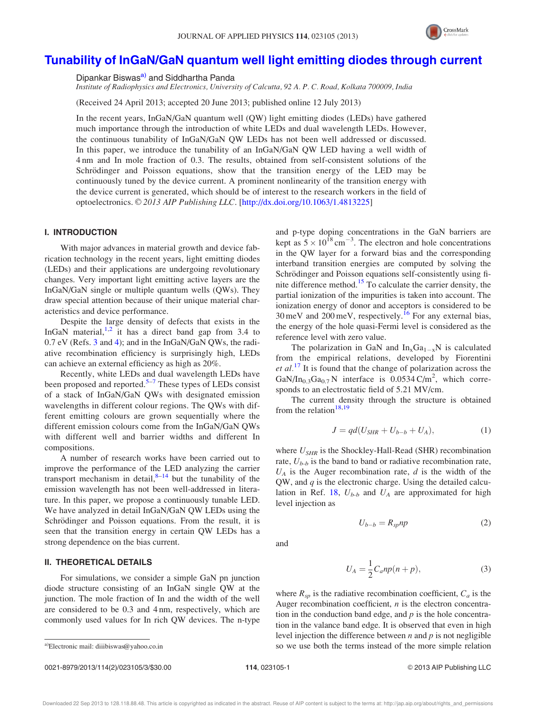

### Tunability of InGaN/GaN quantum well light emitting diodes through current

Dipankar Biswas<sup>a)</sup> and Siddhartha Panda

Institute of Radiophysics and Electronics, University of Calcutta, 92 A. P. C. Road, Kolkata 700009, India

(Received 24 April 2013; accepted 20 June 2013; published online 12 July 2013)

In the recent years, InGaN/GaN quantum well (QW) light emitting diodes (LEDs) have gathered much importance through the introduction of white LEDs and dual wavelength LEDs. However, the continuous tunability of InGaN/GaN QW LEDs has not been well addressed or discussed. In this paper, we introduce the tunability of an InGaN/GaN QW LED having a well width of 4 nm and In mole fraction of 0.3. The results, obtained from self-consistent solutions of the Schrödinger and Poisson equations, show that the transition energy of the LED may be continuously tuned by the device current. A prominent nonlinearity of the transition energy with the device current is generated, which should be of interest to the research workers in the field of optoelectronics. © 2013 AIP Publishing LLC. [http://dx.doi.org/10.1063/1.4813225]

#### I. INTRODUCTION

With major advances in material growth and device fabrication technology in the recent years, light emitting diodes (LEDs) and their applications are undergoing revolutionary changes. Very important light emitting active layers are the InGaN/GaN single or multiple quantum wells (QWs). They draw special attention because of their unique material characteristics and device performance.

Despite the large density of defects that exists in the InGaN material, $1/2$  it has a direct band gap from 3.4 to 0.7 eV (Refs. 3 and 4); and in the InGaN/GaN QWs, the radiative recombination efficiency is surprisingly high, LEDs can achieve an external efficiency as high as 20%.

Recently, white LEDs and dual wavelength LEDs have been proposed and reported.<sup>5-7</sup> These types of LEDs consist of a stack of InGaN/GaN QWs with designated emission wavelengths in different colour regions. The QWs with different emitting colours are grown sequentially where the different emission colours come from the InGaN/GaN QWs with different well and barrier widths and different In compositions.

A number of research works have been carried out to improve the performance of the LED analyzing the carrier transport mechanism in detail, $8-14$  but the tunability of the emission wavelength has not been well-addressed in literature. In this paper, we propose a continuously tunable LED. We have analyzed in detail InGaN/GaN QW LEDs using the Schrödinger and Poisson equations. From the result, it is seen that the transition energy in certain QW LEDs has a strong dependence on the bias current.

#### II. THEORETICAL DETAILS

For simulations, we consider a simple GaN pn junction diode structure consisting of an InGaN single QW at the junction. The mole fraction of In and the width of the well are considered to be 0.3 and 4 nm, respectively, which are commonly used values for In rich QW devices. The n-type

The polarization in GaN and  $In_xGa_{1-x}N$  is calculated from the empirical relations, developed by Fiorentini  $et al.<sup>17</sup>$  It is found that the change of polarization across the GaN/In<sub>0.3</sub>Ga<sub>0.7</sub> N interface is 0.0534 C/m<sup>2</sup>, which corresponds to an electrostatic field of 5.21 MV/cm.

The current density through the structure is obtained from the relation $18,19$ 

$$
J = qd(U_{SHR} + U_{b-b} + U_A),
$$
 (1)

where  $U_{SHR}$  is the Shockley-Hall-Read (SHR) recombination rate,  $U_{b-b}$  is the band to band or radiative recombination rate,  $U_A$  is the Auger recombination rate,  $d$  is the width of the QW, and  $q$  is the electronic charge. Using the detailed calculation in Ref. 18,  $U_{b-b}$  and  $U_A$  are approximated for high level injection as

$$
U_{b-b} = R_{sp}np \tag{2}
$$

and

$$
U_A = \frac{1}{2} C_a np(n+p),\tag{3}
$$

where  $R_{sp}$  is the radiative recombination coefficient,  $C_a$  is the Auger recombination coefficient,  $n$  is the electron concentration in the conduction band edge, and  $p$  is the hole concentration in the valance band edge. It is observed that even in high level injection the difference between  $n$  and  $p$  is not negligible a)Electronic mail: diiibiswas@yahoo.co.in so we use both the terms instead of the more simple relation

0021-8979/2013/114(2)/023105/3/\$30.00 114, 023105-1 CDD 114, 023105-1 CDD 2013 AIP Publishing LLC

and p-type doping concentrations in the GaN barriers are kept as  $5 \times 10^{18}$  cm<sup>-3</sup>. The electron and hole concentrations in the QW layer for a forward bias and the corresponding interband transition energies are computed by solving the Schrödinger and Poisson equations self-consistently using finite difference method.<sup>15</sup> To calculate the carrier density, the partial ionization of the impurities is taken into account. The ionization energy of donor and acceptors is considered to be 30 meV and 200 meV, respectively.<sup>16</sup> For any external bias, the energy of the hole quasi-Fermi level is considered as the reference level with zero value.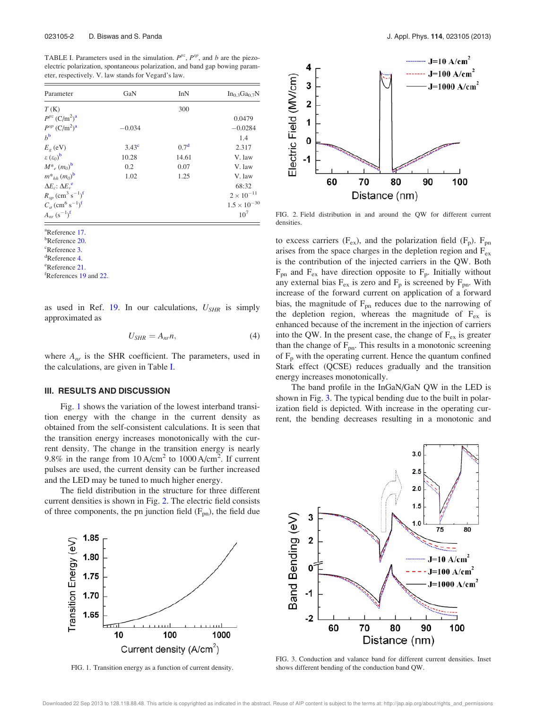TABLE I. Parameters used in the simulation.  $P^{pz}$ ,  $P^{sp}$ , and b are the piezoelectric polarization, spontaneous polarization, and band gap bowing parameter, respectively. V. law stands for Vegard's law.

| Parameter                                                | GaN            | InN              | $In_0$ 3Ga <sub>0.7</sub> N |
|----------------------------------------------------------|----------------|------------------|-----------------------------|
| T(K)                                                     |                | 300              |                             |
| $P^{pz}$ (C/m <sup>2</sup> ) <sup>a</sup>                |                |                  | 0.0479                      |
| $P^{sp}$ $(C/m^2)^a$                                     | $-0.034$       |                  | $-0.0284$                   |
| $h^{\rm b}$                                              |                |                  | 1.4                         |
| $E_g$ (eV)                                               | $3.43^{\circ}$ | 0.7 <sup>d</sup> | 2.317                       |
| $\varepsilon(\varepsilon_0)^b$                           | 10.28          | 14.61            | V. law                      |
| $M^*_{e}(m_0)^{\mathbf{b}}$                              | 0.2            | 0.07             | V. law                      |
| $m^*_{hh} (m_0)^b$                                       | 1.02           | 1.25             | V. law                      |
| $\Delta E_c$ : $\Delta E_v$ <sup>e</sup>                 |                |                  | 68:32                       |
| $R_{sp}$ (cm <sup>3</sup> s <sup>-1</sup> ) <sup>f</sup> |                |                  | $2 \times 10^{-11}$         |
| $C_a$ (cm <sup>6</sup> s <sup>-1</sup> ) <sup>f</sup>    |                |                  | $1.5 \times 10^{-30}$       |
| $A_{nr} (s^{-1})^f$                                      |                |                  | $10^{7}$                    |

<sup>a</sup>Reference 17.

**b**Reference 20.

<sup>c</sup>Reference 3.

<sup>d</sup>Reference 4.

<sup>e</sup>Reference 21.

fReferences 19 and 22.

as used in Ref. 19. In our calculations,  $U_{SHR}$  is simply approximated as

$$
U_{SHR} = A_{nr} n, \tag{4}
$$

where  $A_{nr}$  is the SHR coefficient. The parameters, used in the calculations, are given in Table I.

#### III. RESULTS AND DISCUSSION

Fig. 1 shows the variation of the lowest interband transition energy with the change in the current density as obtained from the self-consistent calculations. It is seen that the transition energy increases monotonically with the current density. The change in the transition energy is nearly 9.8% in the range from  $10 \text{ A/cm}^2$  to  $1000 \text{ A/cm}^2$ . If current pulses are used, the current density can be further increased and the LED may be tuned to much higher energy.

The field distribution in the structure for three different current densities is shown in Fig. 2. The electric field consists of three components, the pn junction field  $(F_{pn})$ , the field due



FIG. 1. Transition energy as a function of current density.



FIG. 2. Field distribution in and around the QW for different current densities.

to excess carriers ( $F_{ex}$ ), and the polarization field ( $F_p$ ).  $F_{pn}$ arises from the space charges in the depletion region and  $F_{ex}$ is the contribution of the injected carriers in the QW. Both  $F_{pn}$  and  $F_{ex}$  have direction opposite to  $F_p$ . Initially without any external bias  $F_{ex}$  is zero and  $F_p$  is screened by  $F_{pn}$ . With increase of the forward current on application of a forward bias, the magnitude of  $F_{pn}$  reduces due to the narrowing of the depletion region, whereas the magnitude of  $F_{ex}$  is enhanced because of the increment in the injection of carriers into the QW. In the present case, the change of  $F_{ex}$  is greater than the change of  $F_{pn}$ . This results in a monotonic screening of  $F_p$  with the operating current. Hence the quantum confined Stark effect (QCSE) reduces gradually and the transition energy increases monotonically.

The band profile in the InGaN/GaN QW in the LED is shown in Fig. 3. The typical bending due to the built in polarization field is depicted. With increase in the operating current, the bending decreases resulting in a monotonic and



FIG. 3. Conduction and valance band for different current densities. Inset shows different bending of the conduction band QW.